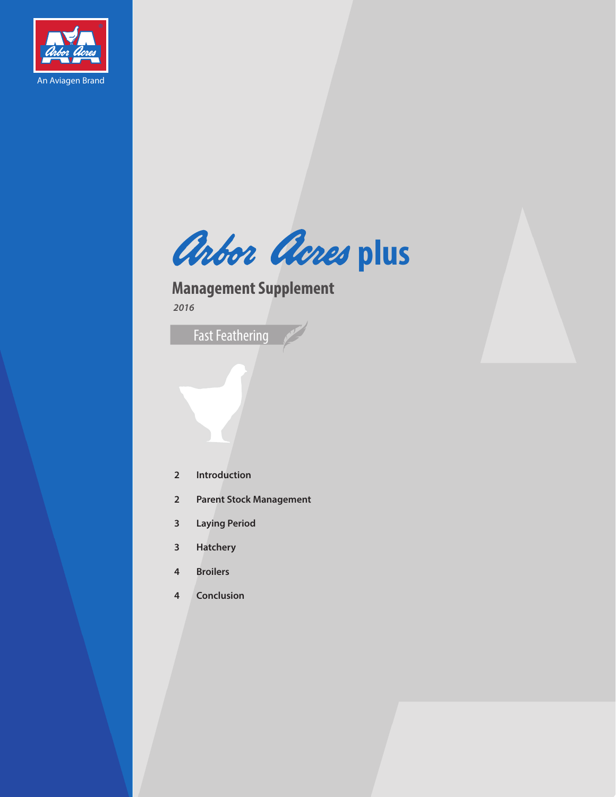

Arbor Acres plus

**Management Supplement** 

Fast Feathering

- **Introduction**
- **Parent Stock Management**
- **Laying Period**
- **Hatchery**
- **Broilers**
- **Conclusion**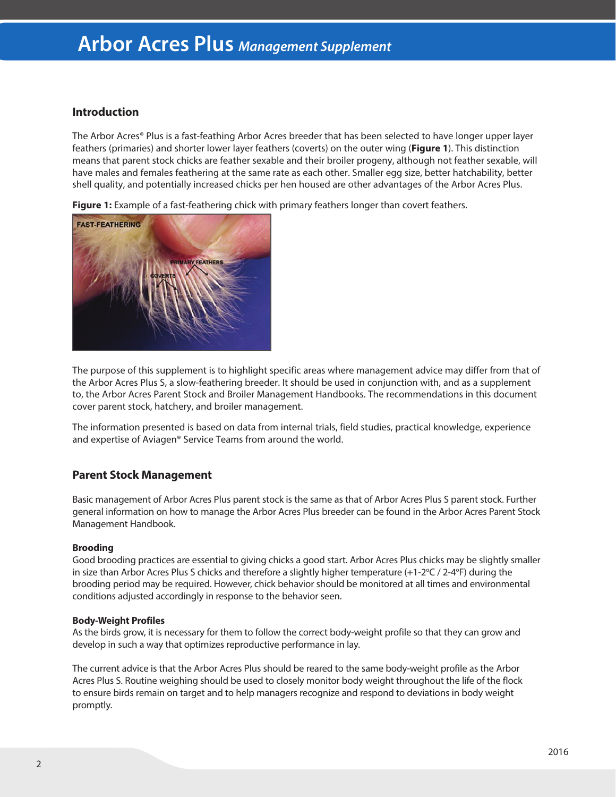# **Arbor Acres Plus** *Management Supplement*

## **Introduction**

The Arbor Acres® Plus is a fast-feathing Arbor Acres breeder that has been selected to have longer upper layer feathers (primaries) and shorter lower layer feathers (coverts) on the outer wing (**Figure 1**). This distinction means that parent stock chicks are feather sexable and their broiler progeny, although not feather sexable, will have males and females feathering at the same rate as each other. Smaller egg size, better hatchability, better shell quality, and potentially increased chicks per hen housed are other advantages of the Arbor Acres Plus.

**Figure 1:** Example of a fast-feathering chick with primary feathers longer than covert feathers.



The purpose of this supplement is to highlight specific areas where management advice may differ from that of the Arbor Acres Plus S, a slow-feathering breeder. It should be used in conjunction with, and as a supplement to, the Arbor Acres Parent Stock and Broiler Management Handbooks. The recommendations in this document cover parent stock, hatchery, and broiler management.

The information presented is based on data from internal trials, field studies, practical knowledge, experience and expertise of Aviagen® Service Teams from around the world.

# **Parent Stock Management**

Basic management of Arbor Acres Plus parent stock is the same as that of Arbor Acres Plus S parent stock. Further general information on how to manage the Arbor Acres Plus breeder can be found in the Arbor Acres Parent Stock Management Handbook.

## **Brooding**

Good brooding practices are essential to giving chicks a good start. Arbor Acres Plus chicks may be slightly smaller in size than Arbor Acres Plus S chicks and therefore a slightly higher temperature  $(+1-2^{\circ}C/2-4^{\circ}F)$  during the brooding period may be required. However, chick behavior should be monitored at all times and environmental conditions adjusted accordingly in response to the behavior seen.

## **Body-Weight Profiles**

As the birds grow, it is necessary for them to follow the correct body-weight profile so that they can grow and develop in such a way that optimizes reproductive performance in lay.

The current advice is that the Arbor Acres Plus should be reared to the same body-weight profile as the Arbor Acres Plus S. Routine weighing should be used to closely monitor body weight throughout the life of the flock to ensure birds remain on target and to help managers recognize and respond to deviations in body weight promptly.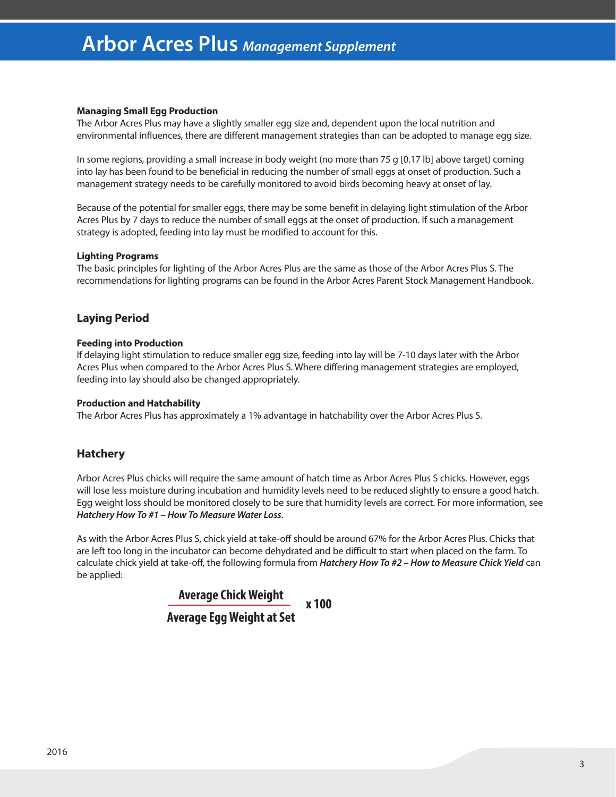## **Managing Small Egg Production**

The Arbor Acres Plus may have a slightly smaller egg size and, dependent upon the local nutrition and environmental influences, there are different management strategies than can be adopted to manage egg size.

In some regions, providing a small increase in body weight (no more than 75 g [0.17 lb] above target) coming into lay has been found to be beneficial in reducing the number of small eggs at onset of production. Such a management strategy needs to be carefully monitored to avoid birds becoming heavy at onset of lay.

Because of the potential for smaller eggs, there may be some benefit in delaying light stimulation of the Arbor Acres Plus by 7 days to reduce the number of small eggs at the onset of production. If such a management strategy is adopted, feeding into lay must be modified to account for this.

## **Lighting Programs**

The basic principles for lighting of the Arbor Acres Plus are the same as those of the Arbor Acres Plus S. The recommendations for lighting programs can be found in the Arbor Acres Parent Stock Management Handbook.

# **Laying Period**

## **Feeding into Production**

If delaying light stimulation to reduce smaller egg size, feeding into lay will be 7-10 days later with the Arbor Acres Plus when compared to the Arbor Acres Plus S. Where differing management strategies are employed, feeding into lay should also be changed appropriately.

#### **Production and Hatchability**

The Arbor Acres Plus has approximately a 1% advantage in hatchability over the Arbor Acres Plus S.

## **Hatchery**

Arbor Acres Plus chicks will require the same amount of hatch time as Arbor Acres Plus S chicks. However, eggs will lose less moisture during incubation and humidity levels need to be reduced slightly to ensure a good hatch. Egg weight loss should be monitored closely to be sure that humidity levels are correct. For more information, see *Hatchery How To #1 – How To Measure Water Loss*.

As with the Arbor Acres Plus S, chick yield at take-off should be around 67% for the Arbor Acres Plus. Chicks that are left too long in the incubator can become dehydrated and be difficult to start when placed on the farm. To calculate chick yield at take-off, the following formula from *Hatchery How To #2 – How to Measure Chick Yield* can be applied:

> **Average Chick Weight Average Egg Weight at Set x 100**